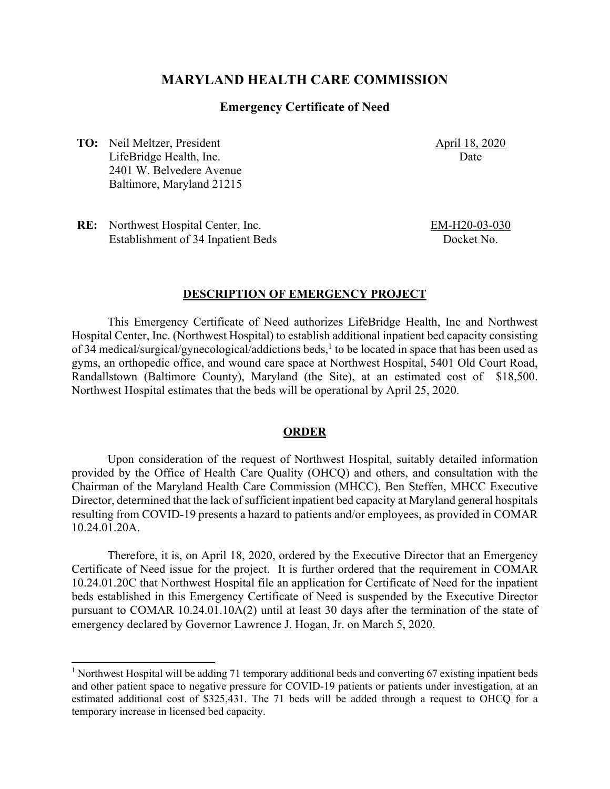# **MARYLAND HEALTH CARE COMMISSION**

#### **Emergency Certificate of Need**

**TO:** Neil Meltzer, President LifeBridge Health, Inc. 2401 W. Belvedere Avenue Baltimore, Maryland 21215 April 18, 2020 Date

**RE:** Northwest Hospital Center, Inc. Establishment of 34 Inpatient Beds EM-H20-03-030 Docket No.

#### **DESCRIPTION OF EMERGENCY PROJECT**

This Emergency Certificate of Need authorizes LifeBridge Health, Inc and Northwest Hospital Center, Inc. (Northwest Hospital) to establish additional inpatient bed capacity consisting of 34 medical/surgical/gynecological/addictions beds,<sup>1</sup> to be located in space that has been used as gyms, an orthopedic office, and wound care space at Northwest Hospital, 5401 Old Court Road, Randallstown (Baltimore County), Maryland (the Site), at an estimated cost of \$18,500. Northwest Hospital estimates that the beds will be operational by April 25, 2020.

#### **ORDER**

Upon consideration of the request of Northwest Hospital, suitably detailed information provided by the Office of Health Care Quality (OHCQ) and others, and consultation with the Chairman of the Maryland Health Care Commission (MHCC), Ben Steffen, MHCC Executive Director, determined that the lack of sufficient inpatient bed capacity at Maryland general hospitals resulting from COVID-19 presents a hazard to patients and/or employees, as provided in COMAR 10.24.01.20A.

Therefore, it is, on April 18, 2020, ordered by the Executive Director that an Emergency Certificate of Need issue for the project. It is further ordered that the requirement in COMAR 10.24.01.20C that Northwest Hospital file an application for Certificate of Need for the inpatient beds established in this Emergency Certificate of Need is suspended by the Executive Director pursuant to COMAR 10.24.01.10A(2) until at least 30 days after the termination of the state of emergency declared by Governor Lawrence J. Hogan, Jr. on March 5, 2020.

<sup>&</sup>lt;sup>1</sup> Northwest Hospital will be adding 71 temporary additional beds and converting 67 existing inpatient beds and other patient space to negative pressure for COVID-19 patients or patients under investigation, at an estimated additional cost of \$325,431. The 71 beds will be added through a request to OHCQ for a temporary increase in licensed bed capacity.